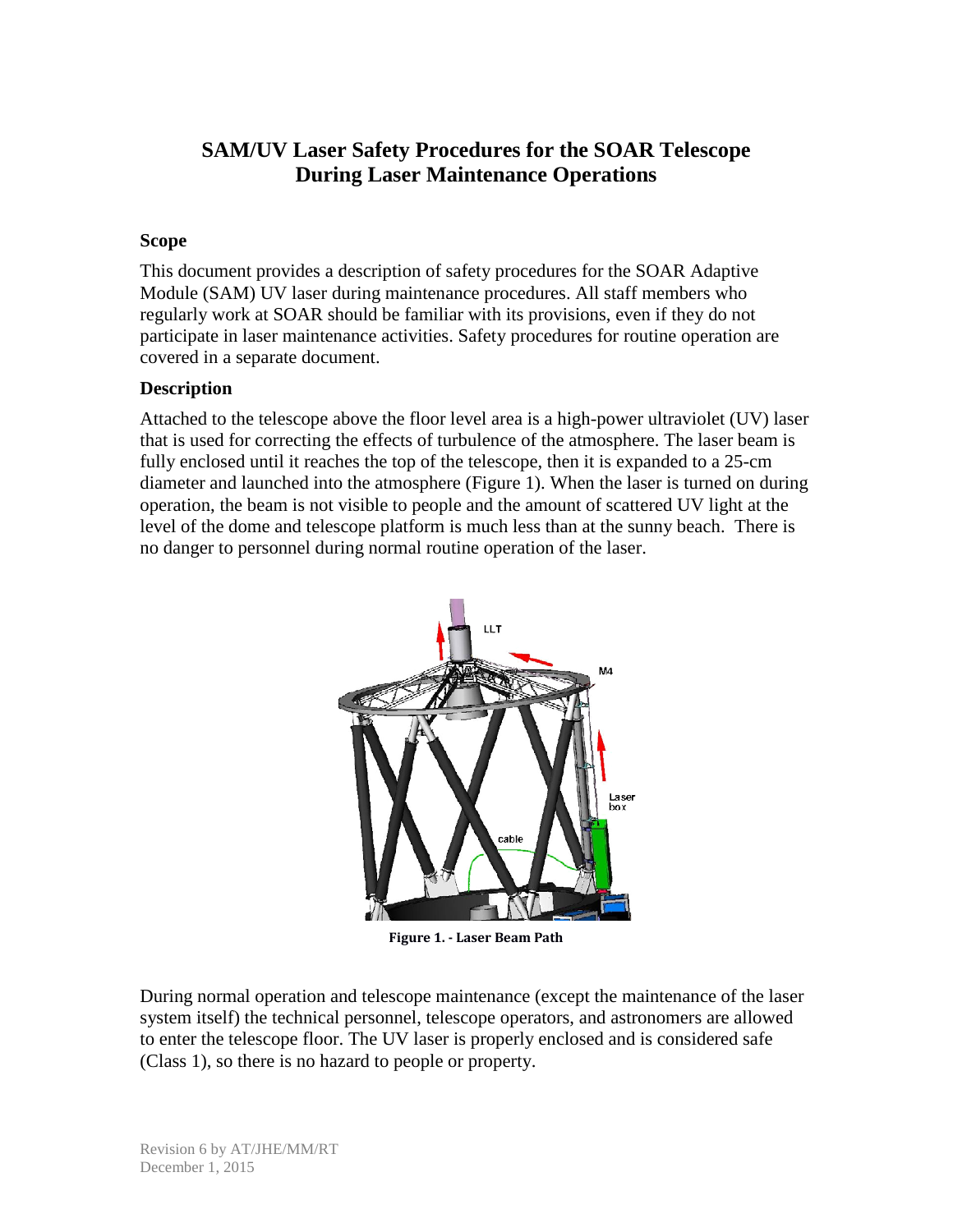# **SAM/UV Laser Safety Procedures for the SOAR Telescope During Laser Maintenance Operations**

#### **Scope**

This document provides a description of safety procedures for the SOAR Adaptive Module (SAM) UV laser during maintenance procedures. All staff members who regularly work at SOAR should be familiar with its provisions, even if they do not participate in laser maintenance activities. Safety procedures for routine operation are covered in a separate document.

#### **Description**

Attached to the telescope above the floor level area is a high-power ultraviolet (UV) laser that is used for correcting the effects of turbulence of the atmosphere. The laser beam is fully enclosed until it reaches the top of the telescope, then it is expanded to a 25-cm diameter and launched into the atmosphere (Figure 1). When the laser is turned on during operation, the beam is not visible to people and the amount of scattered UV light at the level of the dome and telescope platform is much less than at the sunny beach. There is no danger to personnel during normal routine operation of the laser.



**Figure 1. - Laser Beam Path**

During normal operation and telescope maintenance (except the maintenance of the laser system itself) the technical personnel, telescope operators, and astronomers are allowed to enter the telescope floor. The UV laser is properly enclosed and is considered safe (Class 1), so there is no hazard to people or property.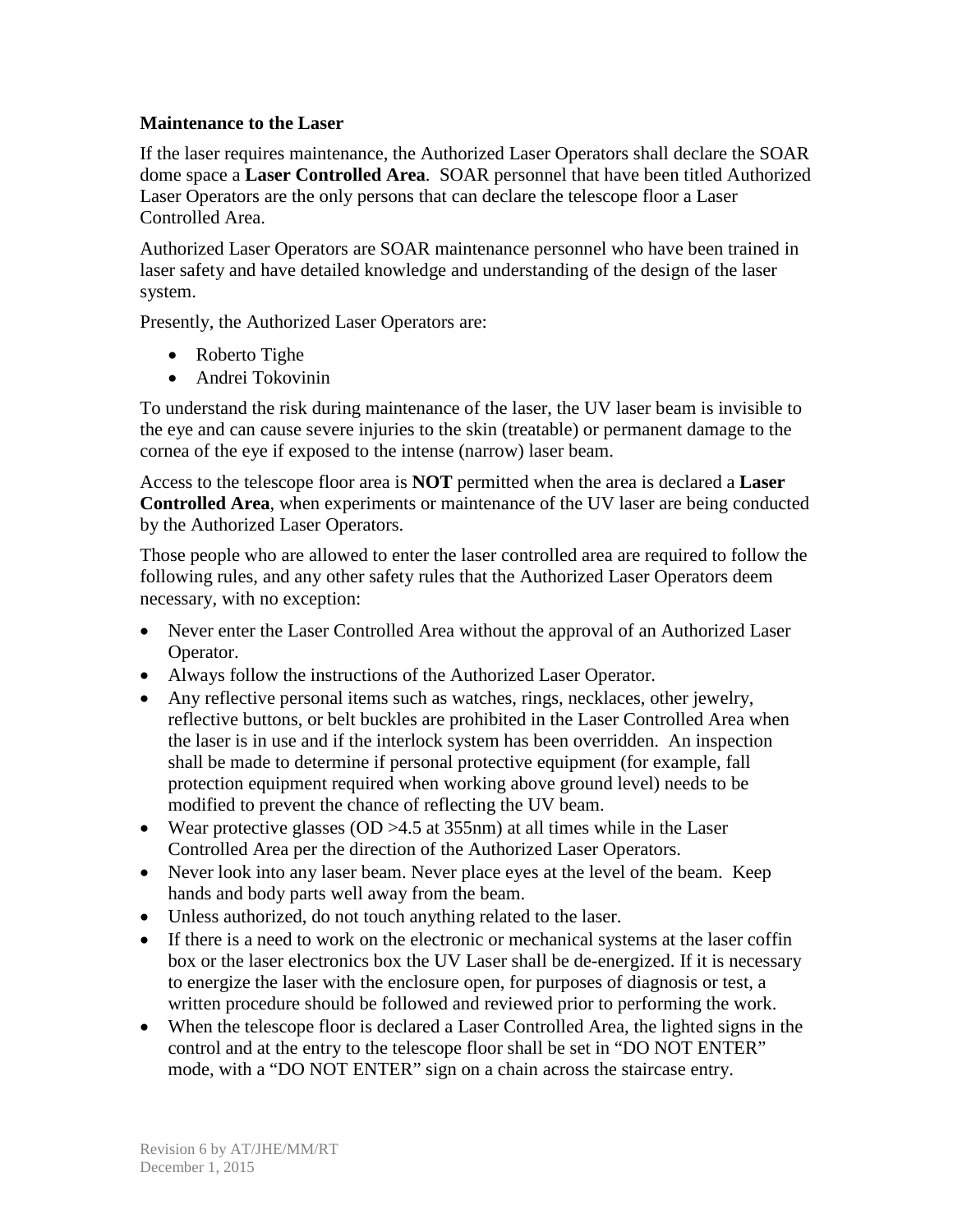## **Maintenance to the Laser**

If the laser requires maintenance, the Authorized Laser Operators shall declare the SOAR dome space a **Laser Controlled Area**. SOAR personnel that have been titled Authorized Laser Operators are the only persons that can declare the telescope floor a Laser Controlled Area.

Authorized Laser Operators are SOAR maintenance personnel who have been trained in laser safety and have detailed knowledge and understanding of the design of the laser system.

Presently, the Authorized Laser Operators are:

- Roberto Tighe
- Andrei Tokovinin

To understand the risk during maintenance of the laser, the UV laser beam is invisible to the eye and can cause severe injuries to the skin (treatable) or permanent damage to the cornea of the eye if exposed to the intense (narrow) laser beam.

Access to the telescope floor area is **NOT** permitted when the area is declared a **Laser Controlled Area**, when experiments or maintenance of the UV laser are being conducted by the Authorized Laser Operators.

Those people who are allowed to enter the laser controlled area are required to follow the following rules, and any other safety rules that the Authorized Laser Operators deem necessary, with no exception:

- Never enter the Laser Controlled Area without the approval of an Authorized Laser Operator.
- Always follow the instructions of the Authorized Laser Operator.
- Any reflective personal items such as watches, rings, necklaces, other jewelry, reflective buttons, or belt buckles are prohibited in the Laser Controlled Area when the laser is in use and if the interlock system has been overridden. An inspection shall be made to determine if personal protective equipment (for example, fall protection equipment required when working above ground level) needs to be modified to prevent the chance of reflecting the UV beam.
- Wear protective glasses  $OD > 4.5$  at 355nm) at all times while in the Laser Controlled Area per the direction of the Authorized Laser Operators.
- Never look into any laser beam. Never place eyes at the level of the beam. Keep hands and body parts well away from the beam.
- Unless authorized, do not touch anything related to the laser.
- If there is a need to work on the electronic or mechanical systems at the laser coffin box or the laser electronics box the UV Laser shall be de-energized. If it is necessary to energize the laser with the enclosure open, for purposes of diagnosis or test, a written procedure should be followed and reviewed prior to performing the work.
- When the telescope floor is declared a Laser Controlled Area, the lighted signs in the control and at the entry to the telescope floor shall be set in "DO NOT ENTER" mode, with a "DO NOT ENTER" sign on a chain across the staircase entry.